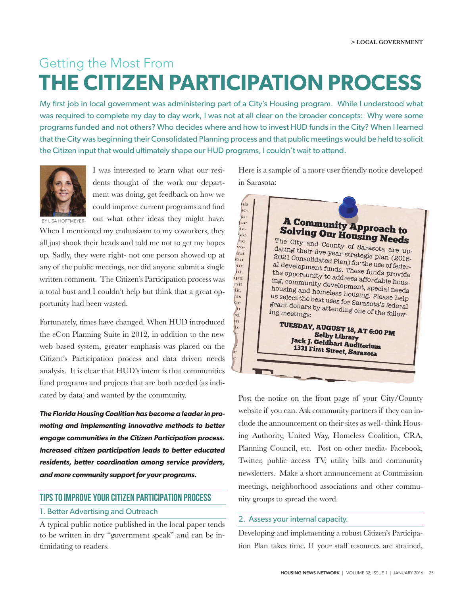# Getting the Most From **THE CITIZEN PARTICIPATION PROCESS**

My first job in local government was administering part of a City's Housing program. While I understood what was required to complete my day to day work, I was not at all clear on the broader concepts: Why were some programs funded and not others? Who decides where and how to invest HUD funds in the City? When I learned that the City was beginning their Consolidated Planning process and that public meetings would be held to solicit the Citizen input that would ultimately shape our HUD programs, I couldn't wait to attend.



I was interested to learn what our residents thought of the work our department was doing, get feedback on how we could improve current programs and find out what other ideas they might have.

BY LISA HOFFMEYER

When I mentioned my enthusiasm to my coworkers, they all just shook their heads and told me not to get my hopes up. Sadly, they were right- not one person showed up at any of the public meetings, nor did anyone submit a single written comment. The Citizen's Participation process was a total bust and I couldn't help but think that a great opportunity had been wasted.

Fortunately, times have changed. When HUD introduced the eCon Planning Suite in 2012, in addition to the new web based system, greater emphasis was placed on the Citizen's Participation process and data driven needs analysis. It is clear that HUD's intent is that communities fund programs and projects that are both needed (as indicated by data) and wanted by the community.

*The Florida Housing Coalition has become a leader in promoting and implementing innovative methods to better engage communities in the Citizen Participation process. Increased citizen participation leads to better educated residents, better coordination among service providers, and more community support for your programs.*

## TIPS TO IMPROVE YOUR CITIZEN PARTICIPATION PROCESS

## 1. Better Advertising and Outreach

A typical public notice published in the local paper tends to be written in dry "government speak" and can be intimidating to readers.

Here is a sample of a more user friendly notice developed in Sarasota:



Post the notice on the front page of your City/County website if you can. Ask community partners if they can include the announcement on their sites as well- think Housing Authority, United Way, Homeless Coalition, CRA, Planning Council, etc. Post on other media- Facebook, Twitter, public access TV, utility bills and community newsletters. Make a short announcement at Commission meetings, neighborhood associations and other community groups to spread the word.

## 2. Assess your internal capacity.

Developing and implementing a robust Citizen's Participation Plan takes time. If your staff resources are strained,